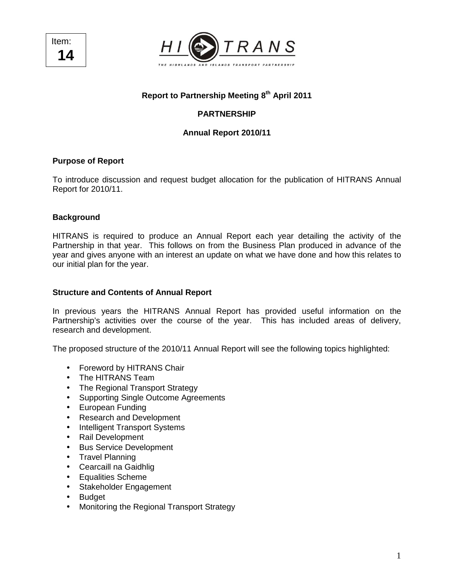Item: **14** 



# **Report to Partnership Meeting 8th April 2011**

# **PARTNERSHIP**

## **Annual Report 2010/11**

### **Purpose of Report**

To introduce discussion and request budget allocation for the publication of HITRANS Annual Report for 2010/11.

#### **Background**

HITRANS is required to produce an Annual Report each year detailing the activity of the Partnership in that year. This follows on from the Business Plan produced in advance of the year and gives anyone with an interest an update on what we have done and how this relates to our initial plan for the year.

#### **Structure and Contents of Annual Report**

In previous years the HITRANS Annual Report has provided useful information on the Partnership's activities over the course of the year. This has included areas of delivery, research and development.

The proposed structure of the 2010/11 Annual Report will see the following topics highlighted:

- Foreword by HITRANS Chair
- The HITRANS Team
- The Regional Transport Strategy
- Supporting Single Outcome Agreements
- European Funding
- Research and Development
- Intelligent Transport Systems
- Rail Development
- Bus Service Development
- Travel Planning
- Cearcaill na Gaidhlig
- Equalities Scheme
- Stakeholder Engagement
- Budget
- Monitoring the Regional Transport Strategy